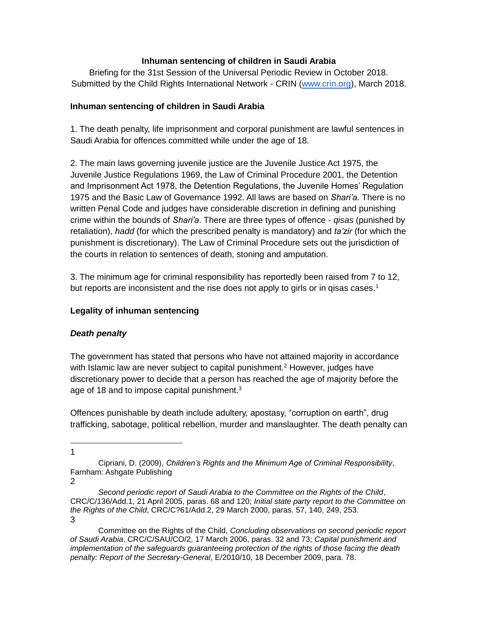## **Inhuman sentencing of children in Saudi Arabia**

Briefing for the 31st Session of the Universal Periodic Review in October 2018. Submitted by the Child Rights International Network - CRIN [\(www.crin.org\)](http://www.crin.org/), March 2018.

## **Inhuman sentencing of children in Saudi Arabia**

1. The death penalty, life imprisonment and corporal punishment are lawful sentences in Saudi Arabia for offences committed while under the age of 18.

2. The main laws governing juvenile justice are the Juvenile Justice Act 1975, the Juvenile Justice Regulations 1969, the Law of Criminal Procedure 2001, the Detention and Imprisonment Act 1978, the Detention Regulations, the Juvenile Homes' Regulation 1975 and the Basic Law of Governance 1992. All laws are based on *Shari'a.* There is no written Penal Code and judges have considerable discretion in defining and punishing crime within the bounds of *Shari'a*. There are three types of offence - *qisas* (punished by retaliation), *hadd* (for which the prescribed penalty is mandatory) and *ta'zir* (for which the punishment is discretionary). The Law of Criminal Procedure sets out the jurisdiction of the courts in relation to sentences of death, stoning and amputation.

3. The minimum age for criminal responsibility has reportedly been raised from 7 to 12, but reports are inconsistent and the rise does not apply to girls or in gisas cases.<sup>1</sup>

# **Legality of inhuman sentencing**

# *Death penalty*

The government has stated that persons who have not attained majority in accordance with Islamic law are never subject to capital punishment.<sup>2</sup> However, judges have discretionary power to decide that a person has reached the age of majority before the age of 18 and to impose capital punishment.<sup>3</sup>

Offences punishable by death include adultery, apostasy, "corruption on earth", drug trafficking, sabotage, political rebellion, murder and manslaughter. The death penalty can

 $\overline{a}$ 1

Cipriani, D. (2009), *Children's Rights and the Minimum Age of Criminal Responsibility*, Farnham: Ashgate Publishing 2

*Second periodic report of Saudi Arabia to the Committee on the Rights of the Child*, CRC/C/136/Add.1, 21 April 2005, paras. 68 and 120; *Initial state party report to the Committee on the Rights of the Child*, CRC/C?61/Add.2, 29 March 2000, paras. 57, 140, 249, 253. 3

Committee on the Rights of the Child, *Concluding observations on second periodic report of Saudi Arabia*, CRC/C/SAU/CO/2, 17 March 2006, paras. 32 and 73; *Capital punishment and implementation of the safeguards guaranteeing protection of the rights of those facing the death penalty: Report of the Secretary-General*, E/2010/10, 18 December 2009, para. 78.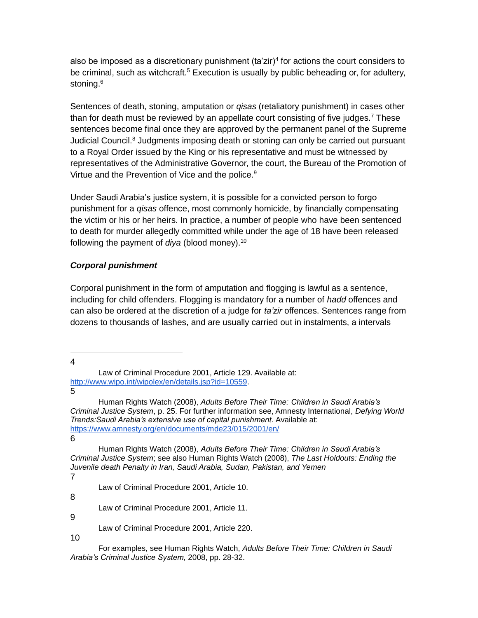also be imposed as a discretionary punishment (ta'zir)<sup>4</sup> for actions the court considers to be criminal, such as witchcraft.<sup>5</sup> Execution is usually by public beheading or, for adultery, stoning.<sup>6</sup>

Sentences of death, stoning, amputation or *qisas* (retaliatory punishment) in cases other than for death must be reviewed by an appellate court consisting of five judges.<sup>7</sup> These sentences become final once they are approved by the permanent panel of the Supreme Judicial Council.<sup>8</sup> Judgments imposing death or stoning can only be carried out pursuant to a Royal Order issued by the King or his representative and must be witnessed by representatives of the Administrative Governor, the court, the Bureau of the Promotion of Virtue and the Prevention of Vice and the police.<sup>9</sup>

Under Saudi Arabia's justice system, it is possible for a convicted person to forgo punishment for a *qisas* offence, most commonly homicide, by financially compensating the victim or his or her heirs. In practice, a number of people who have been sentenced to death for murder allegedly committed while under the age of 18 have been released following the payment of *diya* (blood money).<sup>10</sup>

## *Corporal punishment*

Corporal punishment in the form of amputation and flogging is lawful as a sentence, including for child offenders. Flogging is mandatory for a number of *hadd* offences and can also be ordered at the discretion of a judge for *ta'zir* offences. Sentences range from dozens to thousands of lashes, and are usually carried out in instalments, a intervals

 4

5

8

Law of Criminal Procedure 2001, Article 11.

9

Law of Criminal Procedure 2001, Article 220.

10

Law of Criminal Procedure 2001, Article 129. Available at: [http://www.wipo.int/wipolex/en/details.jsp?id=10559.](http://www.wipo.int/wipolex/en/details.jsp?id=10559)

Human Rights Watch (2008), *Adults Before Their Time: Children in Saudi Arabia's Criminal Justice System*, p. 25. For further information see, Amnesty International, *Defying World Trends:Saudi Arabia's extensive use of capital punishment*. Available at: <https://www.amnesty.org/en/documents/mde23/015/2001/en/> 6

Human Rights Watch (2008), *Adults Before Their Time: Children in Saudi Arabia's Criminal Justice System*; see also Human Rights Watch (2008), *The Last Holdouts: Ending the Juvenile death Penalty in Iran, Saudi Arabia, Sudan, Pakistan, and Yemen* 7

Law of Criminal Procedure 2001, Article 10.

For examples, see Human Rights Watch, *Adults Before Their Time: Children in Saudi Arabia's Criminal Justice System,* 2008, pp. 28-32.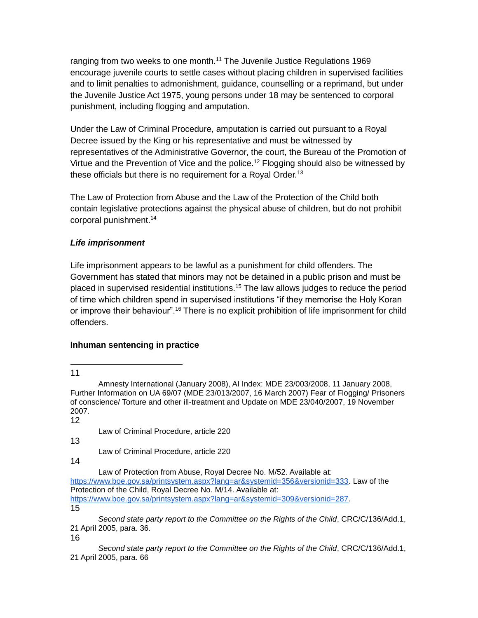ranging from two weeks to one month.<sup>11</sup> The Juvenile Justice Regulations 1969 encourage juvenile courts to settle cases without placing children in supervised facilities and to limit penalties to admonishment, guidance, counselling or a reprimand, but under the Juvenile Justice Act 1975, young persons under 18 may be sentenced to corporal punishment, including flogging and amputation.

Under the Law of Criminal Procedure, amputation is carried out pursuant to a Royal Decree issued by the King or his representative and must be witnessed by representatives of the Administrative Governor, the court, the Bureau of the Promotion of Virtue and the Prevention of Vice and the police.<sup>12</sup> Flogging should also be witnessed by these officials but there is no requirement for a Royal Order.<sup>13</sup>

The Law of Protection from Abuse and the Law of the Protection of the Child both contain legislative protections against the physical abuse of children, but do not prohibit corporal punishment.<sup>14</sup>

## *Life imprisonment*

Life imprisonment appears to be lawful as a punishment for child offenders. The Government has stated that minors may not be detained in a public prison and must be placed in supervised residential institutions.<sup>15</sup> The law allows judges to reduce the period of time which children spend in supervised institutions "if they memorise the Holy Koran or improve their behaviour".<sup>16</sup> There is no explicit prohibition of life imprisonment for child offenders.

# **Inhuman sentencing in practice**

 $\overline{a}$ 11

12

Law of Criminal Procedure, article 220

13

Law of Criminal Procedure, article 220

14

Law of Protection from Abuse, Royal Decree No. M/52. Available at:

[https://www.boe.gov.sa/printsystem.aspx?lang=ar&systemid=356&versionid=333.](https://www.boe.gov.sa/printsystem.aspx?lang=ar&systemid=356&versionid=333) Law of the Protection of the Child, Royal Decree No. M/14. Available at: [https://www.boe.gov.sa/printsystem.aspx?lang=ar&systemid=309&versionid=287.](https://www.boe.gov.sa/printsystem.aspx?lang=ar&systemid=309&versionid=287)

15

*Second state party report to the Committee on the Rights of the Child*, CRC/C/136/Add.1, 21 April 2005, para. 36.

16

*Second state party report to the Committee on the Rights of the Child*, CRC/C/136/Add.1, 21 April 2005, para. 66

Amnesty International (January 2008), AI Index: MDE 23/003/2008, 11 January 2008, Further Information on UA 69/07 (MDE 23/013/2007, 16 March 2007) Fear of Flogging/ Prisoners of conscience/ Torture and other ill-treatment and Update on MDE 23/040/2007, 19 November 2007.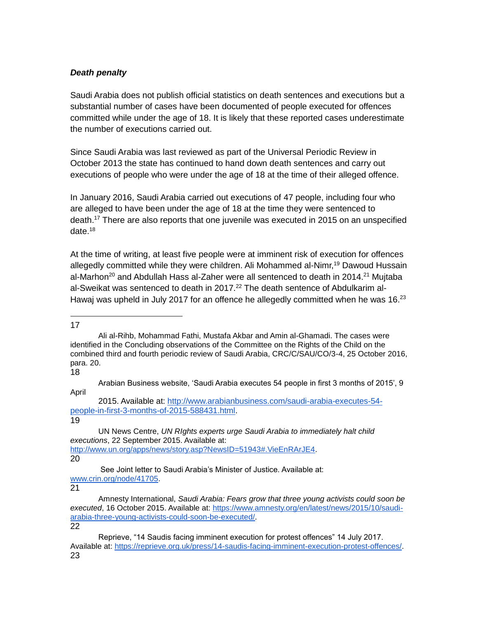#### *Death penalty*

Saudi Arabia does not publish official statistics on death sentences and executions but a substantial number of cases have been documented of people executed for offences committed while under the age of 18. It is likely that these reported cases underestimate the number of executions carried out.

Since Saudi Arabia was last reviewed as part of the Universal Periodic Review in October 2013 the state has continued to hand down death sentences and carry out executions of people who were under the age of 18 at the time of their alleged offence.

In January 2016, Saudi Arabia carried out executions of 47 people, including four who are alleged to have been under the age of 18 at the time they were sentenced to death.<sup>17</sup> There are also reports that one juvenile was executed in 2015 on an unspecified date.<sup>18</sup>

At the time of writing, at least five people were at imminent risk of execution for offences allegedly committed while they were children. Ali Mohammed al-Nimr,<sup>19</sup> Dawoud Hussain al-Marhon<sup>20</sup> and Abdullah Hass al-Zaher were all sentenced to death in 2014.<sup>21</sup> Mujtaba al-Sweikat was sentenced to death in 2017.<sup>22</sup> The death sentence of Abdulkarim al-Hawaj was upheld in July 2017 for an offence he allegedly committed when he was  $16.^{23}$ 

 17

18

19

21

Ali al-Rihb, Mohammad Fathi, Mustafa Akbar and Amin al-Ghamadi. The cases were identified in the Concluding observations of the Committee on the Rights of the Child on the combined third and fourth periodic review of Saudi Arabia, CRC/C/SAU/CO/3-4, 25 October 2016, para. 20.

Arabian Business website, 'Saudi Arabia executes 54 people in first 3 months of 2015', 9 April

<sup>2015.</sup> Available at: [http://www.arabianbusiness.com/saudi-arabia-executes-54](http://www.arabianbusiness.com/saudi-arabia-executes-54-people-in-first-3-months-of-2015-588431.html) [people-in-first-3-months-of-2015-588431.html.](http://www.arabianbusiness.com/saudi-arabia-executes-54-people-in-first-3-months-of-2015-588431.html)

UN News Centre, *UN RIghts experts urge Saudi Arabia to immediately halt child executions*, 22 September 2015. Available at: [http://www.un.org/apps/news/story.asp?NewsID=51943#.VieEnRArJE4.](http://www.un.org/apps/news/story.asp?NewsID=51943#.VieEnRArJE4) 20

See Joint letter to Saudi Arabia's Minister of Justice. Available at: [www.crin.org/node/41705.](http://www.crin.org/node/41705)

Amnesty International, *Saudi Arabia: Fears grow that three young activists could soon be executed*, 16 October 2015. Available at: [https://www.amnesty.org/en/latest/news/2015/10/saudi](https://www.amnesty.org/en/latest/news/2015/10/saudi-arabia-three-young-activists-could-soon-be-executed/)[arabia-three-young-activists-could-soon-be-executed/.](https://www.amnesty.org/en/latest/news/2015/10/saudi-arabia-three-young-activists-could-soon-be-executed/)

<sup>22</sup>

Reprieve, "14 Saudis facing imminent execution for protest offences" 14 July 2017. Available at: [https://reprieve.org.uk/press/14-saudis-facing-imminent-execution-protest-offences/.](https://reprieve.org.uk/press/14-saudis-facing-imminent-execution-protest-offences/) 23